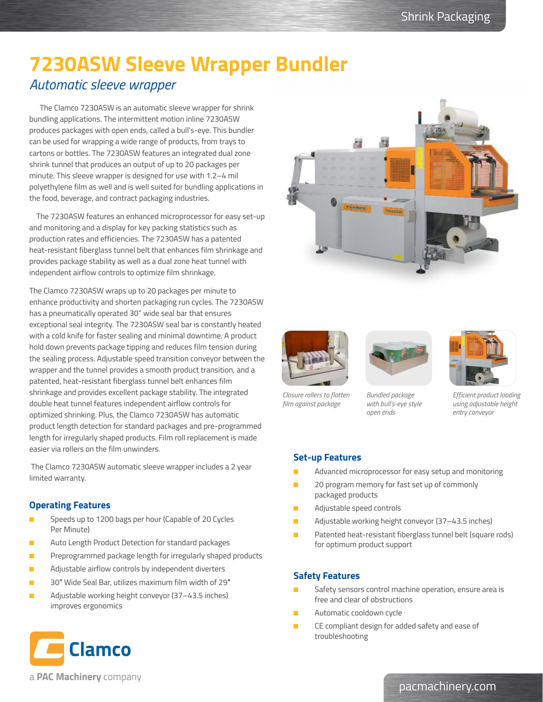# **7230ASW Sleeve Wrapper Bundler**

## *Automatic sleeve wrapper*

 The Clamco 7230ASW is an automatic sleeve wrapper for shrink bundling applications. The intermittent motion inline 7230ASW produces packages with open ends, called a bull's-eye. This bundler can be used for wrapping a wide range of products, from trays to cartons or bottles. The 7230ASW features an integrated dual zone shrink tunnel that produces an output of up to 20 packages per minute. This sleeve wrapper is designed for use with 1.2–4 mil polyethylene film as well and is well suited for bundling applications in the food, beverage, and contract packaging industries.

 The 7230ASW features an enhanced microprocessor for easy set-up and monitoring and a display for key packing statistics such as production rates and efficiencies. The 7230ASW has a patented heat-resistant fiberglass tunnel belt that enhances film shrinkage and provides package stability as well as a dual zone heat tunnel with independent airflow controls to optimize film shrinkage.

The Clamco 7230ASW wraps up to 20 packages per minute to enhance productivity and shorten packaging run cycles. The 7230ASW has a pneumatically operated 30" wide seal bar that ensures exceptional seal integrity. The 7230ASW seal bar is constantly heated with a cold knife for faster sealing and minimal downtime. A product hold down prevents package tipping and reduces film tension during the sealing process. Adjustable speed transition conveyor between the wrapper and the tunnel provides a smooth product transition, and a patented, heat-resistant fiberglass tunnel belt enhances film shrinkage and provides excellent package stability. The integrated double heat tunnel features independent airflow controls for optimized shrinking. Plus, the Clamco 7230ASW has automatic product length detection for standard packages and pre-programmed length for irregularly shaped products. Film roll replacement is made easier via rollers on the film unwinders.

 The Clamco 7230ASW automatic sleeve wrapper includes a 2 year limited warranty.

### **Operating Features**

- Speeds up to 1200 bags per hour (Capable of 20 Cycles Per Minute)
- Auto Length Product Detection for standard packages
- Preprogrammed package length for irregularly shaped products
- Adjustable airflow controls by independent diverters
- 30″ Wide Seal Bar, utilizes maximum film width of 29″
- Adjustable working height conveyor (37-43.5 inches) improves ergonomics





*Closure rollers to flatten film against package*





*Bundled package with bull's-eye style open ends*

*Efficient product loading using adjustable height entry conveyor*

#### **Set-up Features**

- Advanced microprocessor for easy setup and monitoring
- 20 program memory for fast set up of commonly packaged products
- Adjustable speed controls
- Adjustable working height conveyor (37-43.5 inches)
- Patented heat-resistant fiberglass tunnel belt (square rods) for optimum product support

### **Safety Features**

- Safety sensors control machine operation, ensure area is free and clear of obstructions
- Automatic cooldown cycle
- CE compliant design for added safety and ease of troubleshooting



a PAC Machinery company

### pacmachinery.com